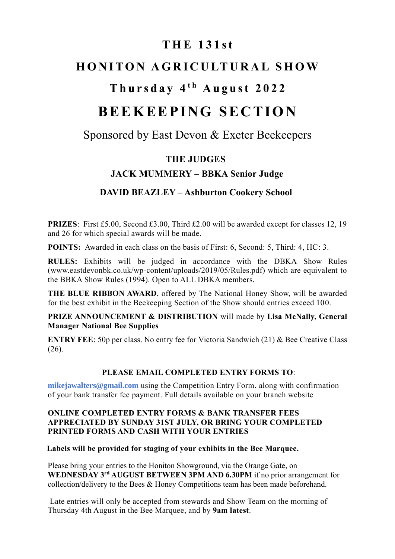## **T H E 1 3 1 s t**

# **HONITON AGRICULTURAL SHOW**

# **T h u r s d a y 4 t h A u g u s t 2 0 2 2**

# **BEEKEEPING SECTION**

## Sponsored by East Devon & Exeter Beekeepers

## **THE JUDGES**

## **JACK MUMMERY – BBKA Senior Judge**

## **DAVID BEAZLEY – Ashburton Cookery School**

**PRIZES**: First £5.00, Second £3.00, Third £2.00 will be awarded except for classes 12, 19 and 26 for which special awards will be made.

**POINTS:** Awarded in each class on the basis of First: 6, Second: 5, Third: 4, HC: 3.

**RULES:** Exhibits will be judged in accordance with the DBKA Show Rules (www.eastdevonbk.co.uk/wp-content/uploads/2019/05/Rules.pdf) which are equivalent to the BBKA Show Rules (1994). Open to ALL DBKA members.

**THE BLUE RIBBON AWARD**, offered by The National Honey Show, will be awarded for the best exhibit in the Beekeeping Section of the Show should entries exceed 100.

**PRIZE ANNOUNCEMENT & DISTRIBUTION** will made by **Lisa McNally, General Manager National Bee Supplies**

**ENTRY FEE**: 50p per class. No entry fee for Victoria Sandwich (21) & Bee Creative Class (26).

#### **PLEASE EMAIL COMPLETED ENTRY FORMS TO**:

**mikejawalters@gmail.com** using the Competition Entry Form, along with confirmation of your bank transfer fee payment. Full details available on your branch website

#### **ONLINE COMPLETED ENTRY FORMS & BANK TRANSFER FEES APPRECIATED BY SUNDAY 31ST JULY, OR BRING YOUR COMPLETED PRINTED FORMS AND CASH WITH YOUR ENTRIES**

#### **Labels will be provided for staging of your exhibits in the Bee Marquee.**

Please bring your entries to the Honiton Showground, via the Orange Gate, on **WEDNESDAY 3 rd AUGUST BETWEEN 3PM AND 6.30PM** if no prior arrangement for collection/delivery to the Bees & Honey Competitions team has been made beforehand.

Late entries will only be accepted from stewards and Show Team on the morning of Thursday 4th August in the Bee Marquee, and by **9am latest**.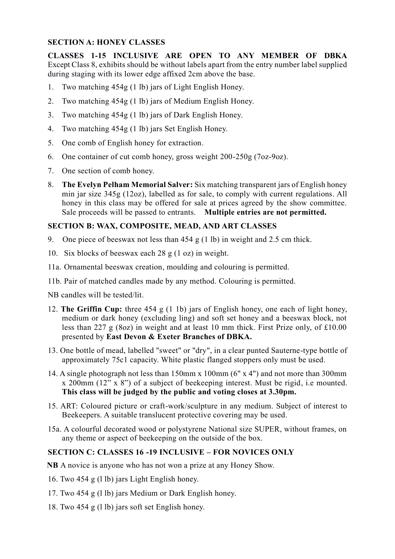#### **SECTION A: HONEY CLASSES**

**CLASSES 1-15 INCLUSIVE ARE OPEN TO ANY MEMBER OF DBKA** Except Class 8, exhibits should be without labels apart from the entry number label supplied during staging with its lower edge affixed 2cm above the base.

- 1. Two matching 454g (1 lb) jars of Light English Honey.
- 2. Two matching 454g (1 lb) jars of Medium English Honey.
- 3. Two matching 454g (1 lb) jars of Dark English Honey.
- 4. Two matching 454g (1 lb) jars Set English Honey.
- 5. One comb of English honey for extraction.
- 6. One container of cut comb honey, gross weight 200-250g (7oz-9oz).
- 7. One section of comb honey.
- 8. **The Evelyn Pelham Memorial Salver:** Six matching transparent jars of English honey min jar size 345g (12oz), labelled as for sale, to comply with current regulations. All honey in this class may be offered for sale at prices agreed by the show committee. Sale proceeds will be passed to entrants. **Multiple entries are not permitted.**

#### **SECTION B: WAX, COMPOSITE, MEAD, AND ART CLASSES**

- 9. One piece of beeswax not less than 454 g (1 lb) in weight and 2.5 cm thick.
- 10. Six blocks of beeswax each 28 g (1 oz) in weight.
- 11a. Ornamental beeswax creation, moulding and colouring is permitted.
- 11b. Pair of matched candles made by any method. Colouring is permitted.

NB candles will be tested/lit.

- 12. **The Griffin Cup:** three 454 g (1 1b) jars of English honey, one each of light honey, medium or dark honey (excluding ling) and soft set honey and a beeswax block, not less than 227 g (8oz) in weight and at least 10 mm thick. First Prize only, of £10.00 presented by **East Devon & Exeter Branches of DBKA.**
- 13. One bottle of mead, labelled "sweet" or "dry", in a clear punted Sauterne-type bottle of approximately 75c1 capacity. White plastic flanged stoppers only must be used.
- 14. A single photograph not less than 150mm x 100mm (6" x 4") and not more than 300mm x 200mm (12" x 8") of a subject of beekeeping interest. Must be rigid, i.e mounted. **This class will be judged by the public and voting closes at 3.30pm.**
- 15. ART: Coloured picture or craft-work/sculpture in any medium. Subject of interest to Beekeepers. A suitable translucent protective covering may be used.
- 15a. A colourful decorated wood or polystyrene National size SUPER, without frames, on any theme or aspect of beekeeping on the outside of the box.

#### **SECTION C: CLASSES 16 -19 INCLUSIVE – FOR NOVICES ONLY**

- **NB** A novice is anyone who has not won a prize at any Honey Show.
- 16. Two 454 g (l lb) jars Light English honey.
- 17. Two 454 g (l lb) jars Medium or Dark English honey.
- 18. Two 454 g (l lb) jars soft set English honey.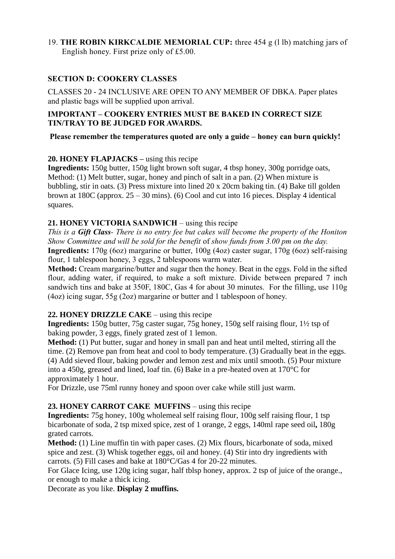#### 19. **THE ROBIN KIRKCALDIE MEMORIAL CUP:** three 454 g (l lb) matching jars of English honey. First prize only of £5.00.

#### **SECTION D: COOKERY CLASSES**

CLASSES 20 - 24 INCLUSIVE ARE OPEN TO ANY MEMBER OF DBKA. Paper plates and plastic bags will be supplied upon arrival.

#### **IMPORTANT – COOKERY ENTRIES MUST BE BAKED IN CORRECT SIZE TIN/TRAY TO BE JUDGED FOR AWARDS.**

**Please remember the temperatures quoted are only a guide – honey can burn quickly!**

#### **20. HONEY FLAPJACKS –** using this recipe

**Ingredients:** 150g butter, 150g light brown soft sugar, 4 tbsp honey, 300g porridge oats, Method: (1) Melt butter, sugar, honey and pinch of salt in a pan. (2) When mixture is bubbling, stir in oats. (3) Press mixture into lined 20 x 20cm baking tin. (4) Bake till golden brown at 180C (approx. 25 – 30 mins). (6) Cool and cut into 16 pieces. Display 4 identical squares.

#### **21. HONEY VICTORIA SANDWICH** – using this recipe

*This is a Gift Class- There is no entry fee but cakes will become the property of the Honiton Show Committee and will be sold for the benefit* of *show funds from 3.00 pm on the day.* **Ingredients:** 170g (6oz) margarine or butter, 100g (4oz) caster sugar, 170g (6oz) self-raising flour, 1 tablespoon honey, 3 eggs, 2 tablespoons warm water.

**Method:** Cream margarine/butter and sugar then the honey. Beat in the eggs. Fold in the sifted flour, adding water, if required, to make a soft mixture. Divide between prepared 7 inch sandwich tins and bake at 350F, 180C, Gas 4 for about 30 minutes. For the filling, use 110g (4oz) icing sugar, 55g (2oz) margarine or butter and 1 tablespoon of honey.

#### **22. HONEY DRIZZLE CAKE** – using this recipe

**Ingredients:** 150g butter, 75g caster sugar, 75g honey, 150g self raising flour, 1½ tsp of baking powder, 3 eggs, finely grated zest of 1 lemon.

**Method:** (1) Put butter, sugar and honey in small pan and heat until melted, stirring all the time. (2) Remove pan from heat and cool to body temperature. (3) Gradually beat in the eggs. (4) Add sieved flour, baking powder and lemon zest and mix until smooth. (5) Pour mixture into a 450g, greased and lined, loaf tin. (6) Bake in a pre-heated oven at 170°C for approximately 1 hour.

For Drizzle, use 75ml runny honey and spoon over cake while still just warm.

#### **23. HONEY CARROT CAKE MUFFINS** – using this recipe

**Ingredients:** 75g honey, 100g wholemeal self raising flour, 100g self raising flour, 1 tsp bicarbonate of soda, 2 tsp mixed spice, zest of 1 orange, 2 eggs, 140ml rape seed oil**,** 180g grated carrots.

**Method:** (1) Line muffin tin with paper cases. (2) Mix flours, bicarbonate of soda, mixed spice and zest. (3) Whisk together eggs, oil and honey. (4) Stir into dry ingredients with carrots. (5) Fill cases and bake at 180°C/Gas 4 for 20-22 minutes.

For Glace Icing, use 120g icing sugar, half tblsp honey, approx. 2 tsp of juice of the orange., or enough to make a thick icing.

Decorate as you like. **Display 2 muffins.**